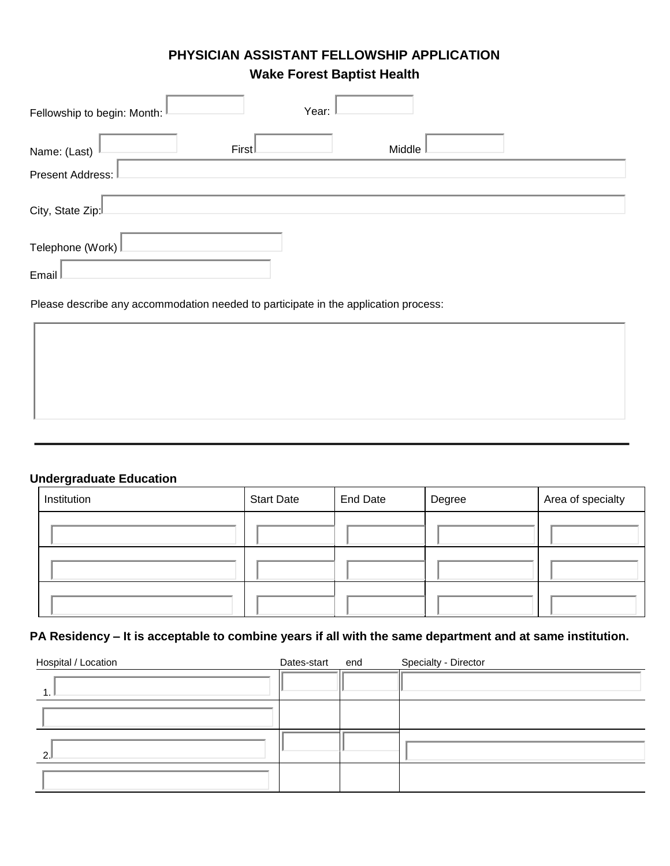# **PHYSICIAN ASSISTANT FELLOWSHIP APPLICATION**

**Wake Forest Baptist Health**

| Fellowship to begin: Month: I | Year: |        |  |
|-------------------------------|-------|--------|--|
| Name: (Last)                  | First | Middle |  |
| Present Address:              |       |        |  |
| City, State Zip:              |       |        |  |
| Telephone (Work)              |       |        |  |
| Email I                       |       |        |  |

Please describe any accommodation needed to participate in the application process:

## **Undergraduate Education**

| Institution | <b>Start Date</b> | <b>End Date</b> | Degree | Area of specialty |
|-------------|-------------------|-----------------|--------|-------------------|
|             |                   |                 |        |                   |
|             |                   |                 |        |                   |
|             |                   |                 |        |                   |

### **PA Residency – It is acceptable to combine years if all with the same department and at same institution.**

| Hospital / Location | Dates-start end | Specialty - Director |
|---------------------|-----------------|----------------------|
|                     |                 |                      |
|                     |                 |                      |
| ົ                   |                 |                      |
|                     |                 |                      |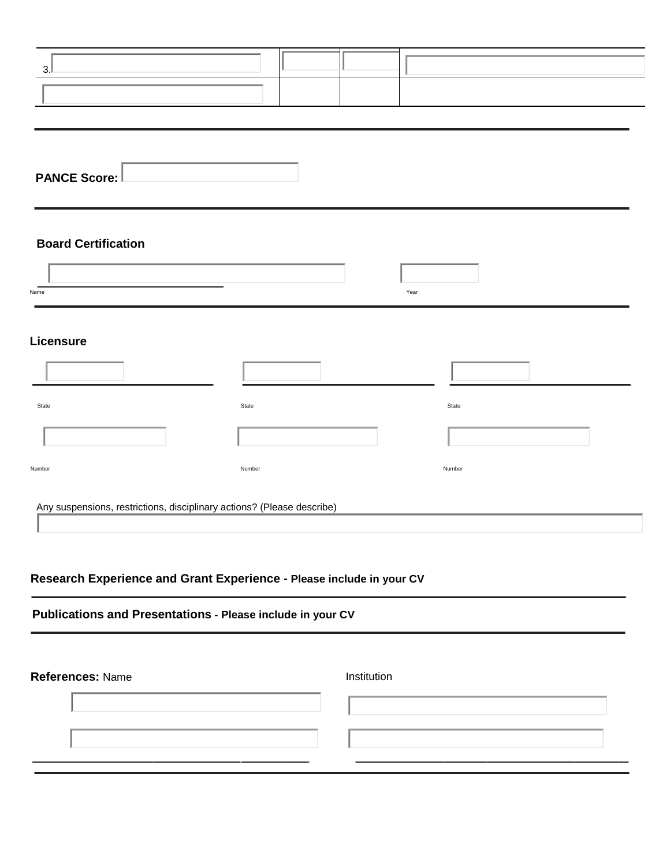| 3.                                                                     |        |        |
|------------------------------------------------------------------------|--------|--------|
|                                                                        |        |        |
|                                                                        |        |        |
| <b>PANCE Score:</b>                                                    |        |        |
| <b>Board Certification</b>                                             |        |        |
| Name                                                                   |        | Year   |
| Licensure                                                              |        |        |
|                                                                        |        |        |
| State                                                                  | State  | State  |
|                                                                        |        |        |
| Number                                                                 | Number | Number |
| Any suspensions, restrictions, disciplinary actions? (Please describe) |        |        |

# **Research Experience and Grant Experience - Please include in your CV**

# **Publications and Presentations - Please include in your CV**

| References: Name | Institution |  |  |
|------------------|-------------|--|--|
|                  |             |  |  |
|                  |             |  |  |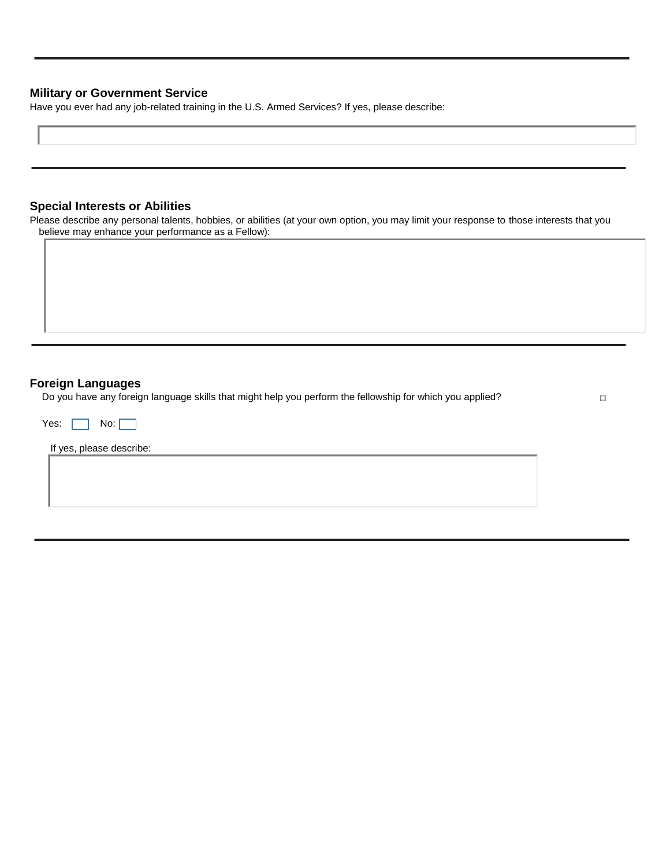#### **Military or Government Service**

Have you ever had any job-related training in the U.S. Armed Services? If yes, please describe:

### **Special Interests or Abilities**

Please describe any personal talents, hobbies, or abilities (at your own option, you may limit your response to those interests that you believe may enhance your performance as a Fellow):

#### **Foreign Languages**

Do you have any foreign language skills that might help you perform the fellowship for which you applied?

 $\Box$ 

| Yes: $\Box$              | No: |  |  |  |
|--------------------------|-----|--|--|--|
| If yes, please describe: |     |  |  |  |
|                          |     |  |  |  |